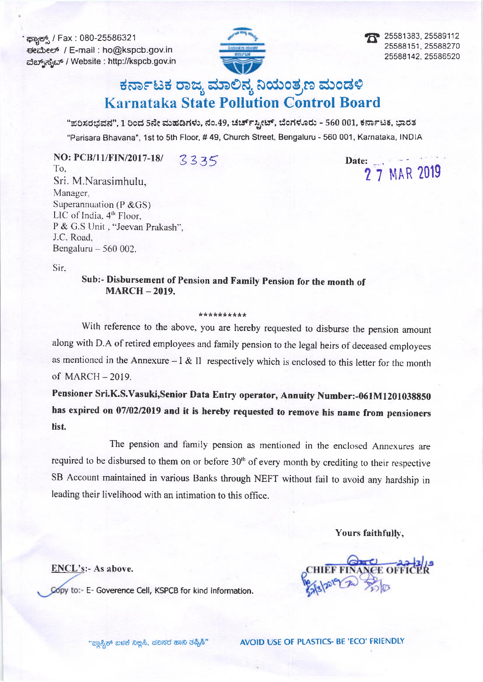ಕ್ಚಾಕ್ಸ್ / Fax : 080-25586321 ಈಮೇಲ್ / E-mail : ho@kspcb.gov.in ವೆಬ್ ಸೈಬ್ / Website : http://kspcb.gov.in



25581383, 25589112 25588151, 25588270 25588142, 25586520

# ಕರ್ನಾಟಕ ರಾಜ್ಯ ಮಾಲಿನ್ಯ ನಿಯಂತ್ರಣ ಮಂಡಳಿ **Karnataka State Pollution Control Board**

"ಪರಿಸರಭವನ", 1 ರಿಂದ 5ನೇ ಮಹಡಿಗಳು, ನಂ.49, ಚರ್ಚ್ಸ್ಟೀಟ್, ಬೆಂಗಳೂರು - 560 001, ಕರ್ನಾಟಕ, ಭಾರತ "Parisara Bhavana", 1st to 5th Floor, #49, Church Street, Bengaluru - 560 001, Karnataka, INDIA

NO: PCB/11/FIN/2017-18/ 3335 To. Sri. M.Narasimhulu, Manager, Superannuation ( $P & G(S)$ ) LIC of India, 4<sup>th</sup> Floor, P & G.S Unit, "Jeevan Prakash", J.C. Road. Bengaluru - 560 002.

Date:  $\qquad \qquad --$ 2 7 MAR 2019

Sir.

Sub:- Disbursement of Pension and Family Pension for the month of **MARCH - 2019.** 

#### \*\*\*\*\*\*\*\*\*\*

With reference to the above, you are hereby requested to disburse the pension amount along with D.A of retired employees and family pension to the legal heirs of deceased employees as mentioned in the Annexure -  $l \& II$  respectively which is enclosed to this letter for the month of MARCH - 2019.

Pensioner Sri.K.S.Vasuki,Senior Data Entry operator, Annuity Number:-061M1201038850 has expired on 07/02/2019 and it is hereby requested to remove his name from pensioners list.

The pension and family pension as mentioned in the enclosed Annexures are required to be disbursed to them on or before 30<sup>th</sup> of every month by crediting to their respective SB Account maintained in various Banks through NEFT without fail to avoid any hardship in leading their livelihood with an intimation to this office.

Yours faithfully,

EE OFFIC

**ENCL's:- As above.** Copy to:- E- Goverence Cell, KSPCB for kind information.

"<u>ಹಾಸ್ಟಿಕ್</u> ಖಳಕೆ ನಿಲ್ಲಿಸಿ, ಪಲಸರ ಹಾನಿ ತಪ್ಪಿಸಿ"

AVOID USE OF PLASTICS- BE 'ECO' FRIENDLY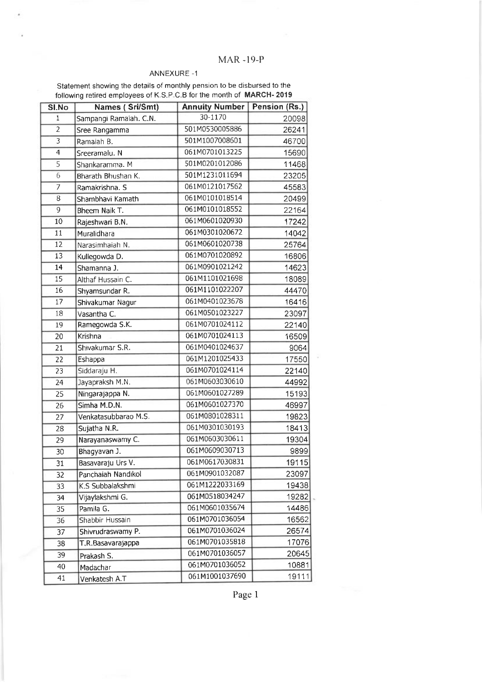## MAR.I9-P

### ANNEXURE -1

Statement showing the details of monthly pension to be disbursed to the following retired employees of K S.P C.B for the month of MARCH- 2019

| SI.No           | Names (Sri/Smt)        | <b>Annuity Number</b> | Pension (Rs.) |
|-----------------|------------------------|-----------------------|---------------|
| $\mathbf{1}$    | Sampangi Ramaiah. C.N. | 30-1170               | 20098         |
| $\overline{2}$  | Sree Rangamma          | 501M0530005886        | 26241         |
| $\overline{3}$  | Ramaiah B.             | 501M1007008601        | 46700         |
| $\overline{4}$  | Sreeramalu. N          | 061M0701013225        | 15690         |
| 5               | Shankaramma. M         | 501M0201012086        | 11468         |
| 6               | Bharath Bhushan K.     | 501M1231011694        | 23205         |
| 7               | Ramakrishna. S         | 061M0121017562        | 45583         |
| 8               | Shambhavi Kamath       | 061M0101018514        | 20499         |
| 9               | Bheem Naik T.          | 061M0101018552        | 22164         |
| 10              | Rajeshwari B.N.        | 061M0601020930        | 17242         |
| 11              | Muralidhara            | 061M0301020672        | 14042         |
| 12              | Narasimhaiah N.        | 061M0601020738        | 25764         |
| 13              | Kullegowda D.          | 061M0701020892        | 16806         |
| 14              | Shamanna J.            | 061M0901021242        | 14623         |
| $\overline{15}$ | Althaf Hussain C.      | 061M1101021698        | 18089         |
| 16              | Shyamsundar R.         | 061M1101022207        | 44470         |
| 17              | Shivakumar Nagur       | 061M0401023678        | 16416         |
| 18              | Vasantha C.            | 061M0501023227        | 23097         |
| 19              | Ramegowda S.K.         | 061M0701024112        | 22140         |
| 20              | Krishna                | 061M0701024113        | 16509         |
| 21              | Shivakumar S.R.        | 061M0401024637        | 9064          |
| 22              | Eshappa                | 061M1201025433        | 17550         |
| $\overline{23}$ | Siddaraju H.           | 061M0701024114        | 22140         |
| 24              | Jayapraksh M.N.        | 061M0603030610        | 44992         |
| 25              | Ningarajappa N.        | 061M0601027289        | 15193         |
| 26              | Simha M.D.N.           | 061M0601027370        | 46997         |
| 27              | Venkatasubbarao M.S.   | 061M0801028311        | 19823         |
| 28              | Sujatha N.R.           | 061M0301030193        | 18413         |
| 29              | Narayanaswamy C.       | 061M0603030611        | 19304         |
| 30              | Bhagyavan J.           | 061M0609030713        | 9899          |
| $\overline{31}$ | Basavaraju Urs V.      | 061M0617030831        | 19115         |
| 32              | Panchaiah Nandikol     | 061M0901032087        | 23097         |
| 33              | K.S Subbalakshmi       | 061M1222033169        | 19438         |
| 34              | Vijaylakshmi G.        | 061M0518034247        | 19282         |
| 35              | Pamila G.              | 061M0601035674        | 14486         |
| 36              | Shabbir Hussain        | 061M0701036054        | 16562         |
| 37              | Shivrudraswamy P.      | 061M0701036024        | 26574         |
| 38              | T.R.Basavarajappa      | 061M0701035818        | 17076         |
| 39              | Prakash S.             | 061M0701036057        | 20645         |
| 40              | Madachar               | 061M0701036052        | 10881         |
| 41              | Venkatesh A.T          | 061M1001037690        | 19111         |

Page 1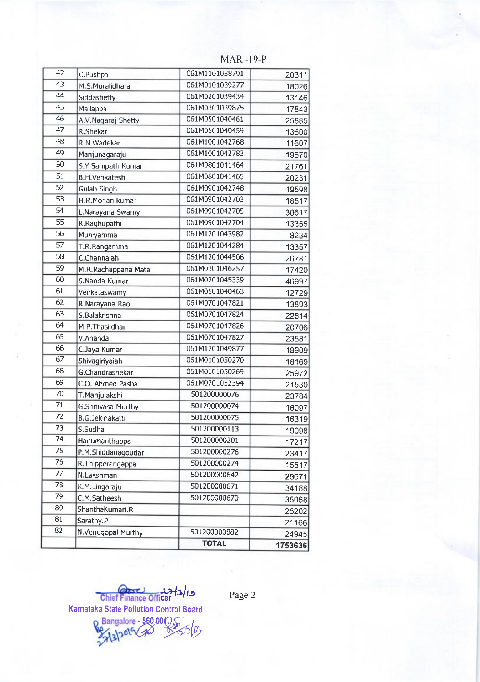| 42              | C.Pushpa               | 061M1101038791 | 20311   |
|-----------------|------------------------|----------------|---------|
| 43              | M.S.Muralidhara        | 061M0101039277 | 18026   |
| 44              | Siddashetty            | 061M0201039434 | 13146   |
| $\overline{45}$ | Mallappa               | 061M0301039875 | 17843   |
| 46              | A.V. Nagaraj Shetty    | 061M0501040461 | 25885   |
| 47              | R.Shekar               | 061M0501040459 | 13600   |
| 48              | R.N.Wadekar            | 061M1001042768 | 11607   |
| 49              | Manjunagaraju          | 061M1001042783 | 19670   |
| 50              | S.Y.Sampath Kumar      | 061M0801041464 | 21761   |
| $\overline{51}$ | <b>B.H.Venkatesh</b>   | 061M0801041465 | 20231   |
| 52              | <b>Gulab Singh</b>     | 061M0901042748 | 19598   |
| 53              | H.R.Mohan kumar        | 061M0901042703 | 18817   |
| $\overline{54}$ | L.Narayana Swamy       | 061M0901042705 | 30617   |
| 55              | R.Raghupathi           | 061M0901042704 | 13355   |
| $\overline{56}$ | Muniyamma              | 061M1201043982 | 8234    |
| $\overline{57}$ | T.R.Rangamma           | 061M1201044284 | 13357   |
| 58              | C.Channaiah            | 061M1201044506 | 26781   |
| 59              | M.R.Rachappana Mata    | 061M0301046257 | 17420   |
| 60              | S.Nanda Kumar          | 061M0201045339 | 46997   |
| 61              | Venkataswamy           | 061M0501040463 | 12729   |
| $\overline{62}$ | R.Narayana Rao         | 061M0701047821 | 13893   |
| 63              | S.Balakrishna          | 061M0701047824 | 22814   |
| 64              | M.P. Thasildhar        | 061M0701047826 | 20706   |
| 65              | V.Ananda               | 061M0701047827 | 23581   |
| 66              | C.Jaya Kumar           | 061M1201049877 | 18909   |
| 67              | Shivagiriyaiah         | 061M0101050270 | 18169   |
| 68              | G.Chandrashekar        | 061M0101050269 | 25972   |
| 69              | C.O. Ahmed Pasha       | 061M0701052394 | 21530   |
| 70              | T.Manjulakshi          | 501200000076   | 23784   |
| $\overline{71}$ | G.Srinivasa Murthy     | 501200000074   | 18097   |
| 72              | <b>B.G.Jekinakatti</b> | 501200000075   | 16319   |
| 73              | S.Sudha                | 501200000113   | 19998   |
| 74              | Hanumanthappa          | 501200000201   | 17217   |
| 75              | P.M.Shiddanagoudar     | 501200000276   | 23417   |
| 76              | R. Thipperangappa      | 501200000274   | 15517   |
| 77              | N.Lakshman             | 501200000642   | 29671   |
| 78              | K.M.Lingaraju          | 501200000671   | 34188   |
| 79              | C.M.Satheesh           | 501200000670   | 35068   |
| 80              | ShanthaKumari.R        |                | 28202   |
| 81              | Sarathy.P              |                | 21166   |
| 82              | N.Venugopal Murthy     | 501200000882   | 24945   |
|                 |                        | <b>TOTAL</b>   | 1753636 |
|                 |                        |                |         |

MAR -I9-P

Chief Finance Officer Karnataka State Pollution Control Board

Page 2

 $\frac{1}{\sqrt{2}}$